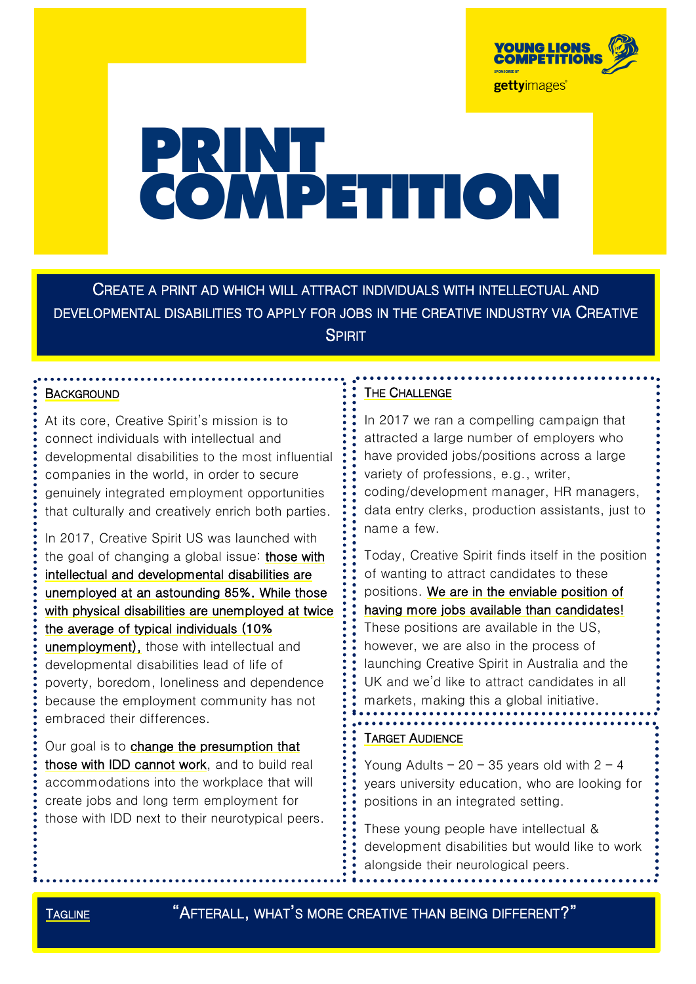

# PRINT<br>COMPETITION

CREATE A PRINT AD WHICH WILL ATTRACT INDIVIDUALS WITH INTELLECTUAL AND DEVELOPMENTAL DISABILITIES TO APPLY FOR JOBS IN THE CREATIVE INDUSTRY VIA CREATIVE SPIRIT

### **BACKGROUND**

At its core, Creative Spirit's mission is to connect individuals with intellectual and developmental disabilities to the most influential companies in the world, in order to secure genuinely integrated employment opportunities that culturally and creatively enrich both parties.

In 2017, Creative Spirit US was launched with the goal of changing a global issue: those with intellectual and developmental disabilities are unemployed at an astounding 85%. While those with physical disabilities are unemployed at twice the average of typical individuals (10% unemployment), those with intellectual and developmental disabilities lead of life of poverty, boredom, loneliness and dependence because the employment community has not embraced their differences.

Our goal is to change the presumption that those with IDD cannot work, and to build real accommodations into the workplace that will create jobs and long term employment for those with IDD next to their neurotypical peers.

## THE CHALLENGE

In 2017 we ran a compelling campaign that attracted a large number of employers who have provided jobs/positions across a large variety of professions, e.g., writer, coding/development manager, HR managers, data entry clerks, production assistants, just to name a few.

Today, Creative Spirit finds itself in the position of wanting to attract candidates to these positions. We are in the enviable position of having more jobs available than candidates! These positions are available in the US, however, we are also in the process of launching Creative Spirit in Australia and the UK and we'd like to attract candidates in all markets, making this a global initiative.

# TARGET AUDIENCE

Young Adults –  $20 - 35$  years old with  $2 - 4$ years university education, who are looking for positions in an integrated setting.

These young people have intellectual & development disabilities but would like to work alongside their neurological peers.